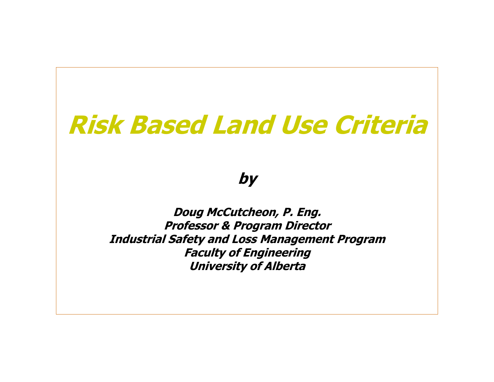# **Risk Based Land Use Criteria**

**by**

**Doug McCutcheon, P. Eng. Professor & Program Director Industrial Safety and Loss Management Program Faculty of Engineering University of Alberta**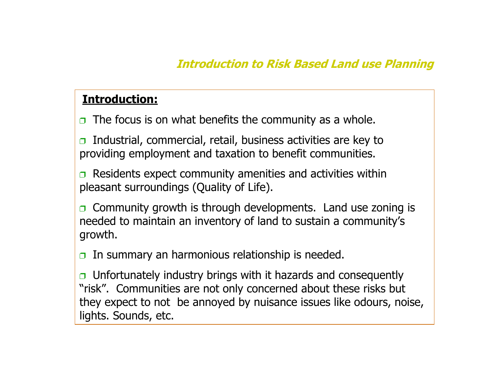# **Introduction to Risk Based Land use Planning**

# **Introduction:**

 $\Box$  The focus is on what benefits the community as a whole.

 $\Box$  Industrial, commercial, retail, business activities are key to providing employment and taxation to benefit communities.

 $\Box$  Residents expect community amenities and activities within pleasant surroundings (Quality of Life).

 $\Box$  Community growth is through developments. Land use zoning is needed to maintain an inventory of land to sustain a community's growth.

 $\Box$  In summary an harmonious relationship is needed.

 $\Box$  Unfortunately industry brings with it hazards and consequently "risk". Communities are not only concerned about these risks but they expect to not be annoyed by nuisance issues like odours, noise, lights. Sounds, etc.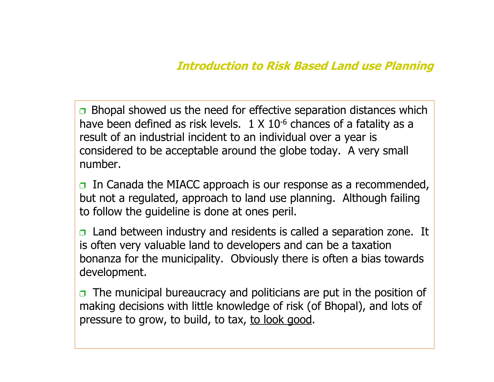# **Introduction to Risk Based Land use Planning**

 $\Box$  Bhopal showed us the need for effective separation distances which have been defined as risk levels.  $1 \times 10^{-6}$  chances of a fatality as a result of an industrial incident to an individual over a year is considered to be acceptable around the globe today. A very small number.

 $\Box$  In Canada the MIACC approach is our response as a recommended, but not a regulated, approach to land use planning. Although failing to follow the guideline is done at ones peril.

 $\Box$  Land between industry and residents is called a separation zone. It is often very valuable land to developers and can be a taxation bonanza for the municipality. Obviously there is often a bias towards development.

 $\Box$  The municipal bureaucracy and politicians are put in the position of making decisions with little knowledge of risk (of Bhopal), and lots of pressure to grow, to build, to tax, to look good.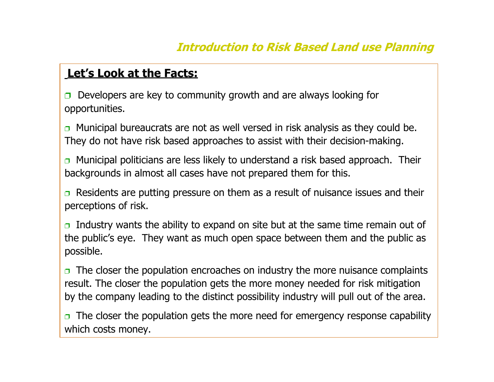# **Let's Look at the Facts:**

 $\Box$  Developers are key to community growth and are always looking for opportunities.

 $\Box$  Municipal bureaucrats are not as well versed in risk analysis as they could be. They do not have risk based approaches to assist with their decision-making.

 $\Box$  Municipal politicians are less likely to understand a risk based approach. Their backgrounds in almost all cases have not prepared them for this.

Residents are putting pressure on them as a result of nuisance issues and their perceptions of risk.

 $\Box$  Industry wants the ability to expand on site but at the same time remain out of the public's eye. They want as much open space between them and the public as possible.

 $\Box$  The closer the population encroaches on industry the more nuisance complaints result. The closer the population gets the more money needed for risk mitigation by the company leading to the distinct possibility industry will pull out of the area.

 $\Box$  The closer the population gets the more need for emergency response capability which costs money.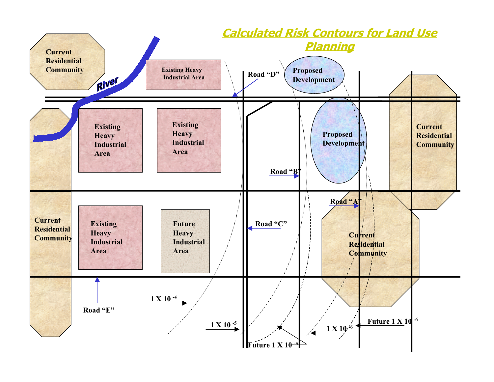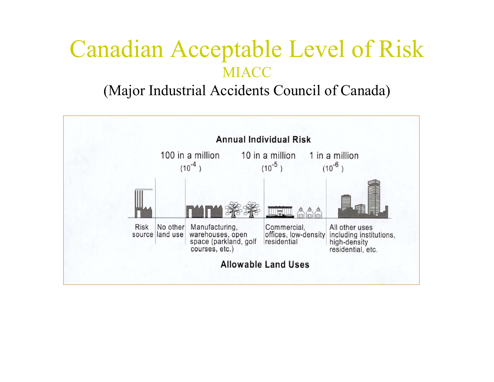# Canadian Acceptable Level of Risk MIACC

# (Major Industrial Accidents Council of Canada)

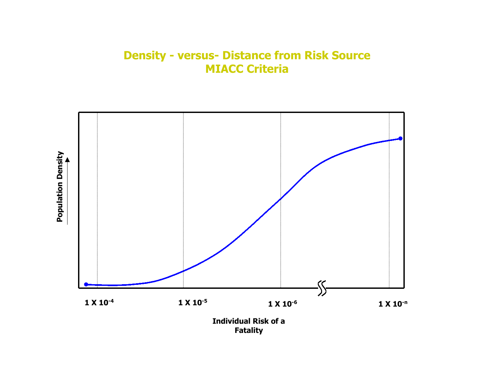## **Density - versus- Distance from Risk Source MIACC Criteria**



**Population Density Population Density**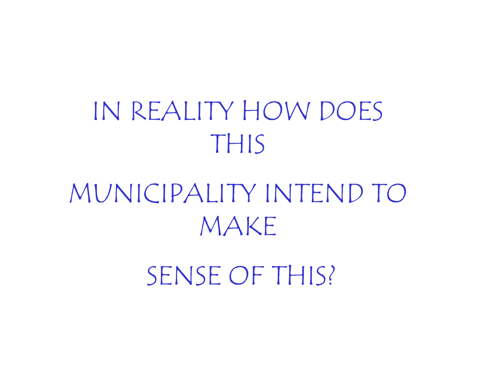# IN REALITY HOW DOES THIS

MUNICIPALITY INTEND TO MAKE

SENSE OF THIS?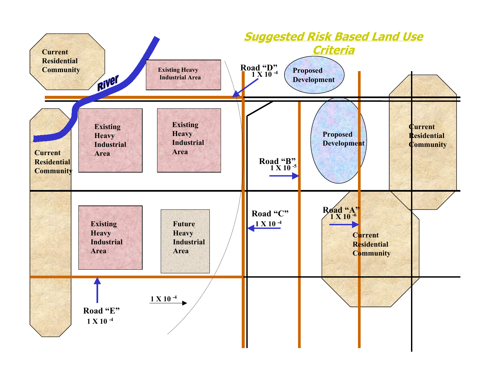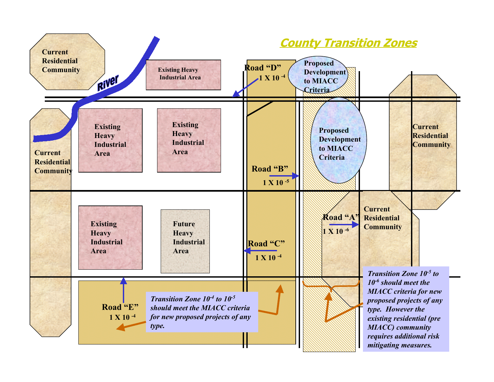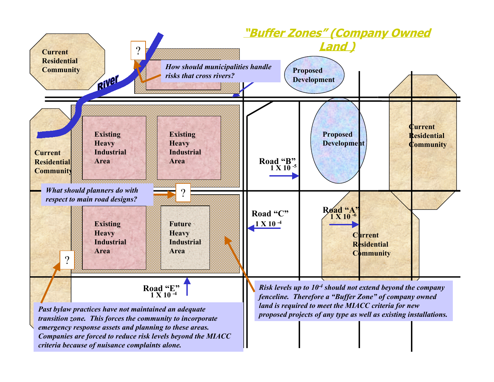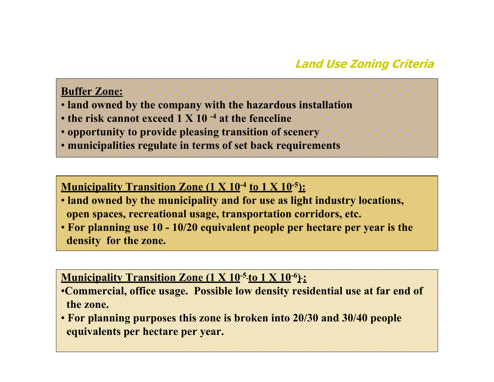# **Land Use Zoning Criteria**

#### **Buffer Zone:**

- • **land owned by the company with the hazardous installation**
- • **the risk cannot exceed 1 X 10 -4 at the fenceline**
- • **opportunity to provide pleasing transition of scenery**
- • **municipalities regulate in terms of set back requirements**

## **Municipality Transition Zone (1 X 10-4 to 1 X 10-5):**

- • **land owned by the municipality and for use as light industry locations, open spaces, recreational usage, transportation corridors, etc.**
- • **For planning use 10 10/20 equivalent people per hectare per year is the density for the zone.**

#### **Municipality Transition Zone (1 X 10-5 to 1 X 10-6 ) :**

- •**Commercial, office usage. Possible low density residential use at far end of the zone.**
- • **For planning purposes this zone is broken into 20/30 and 30/40 people equivalents per hectare per year.**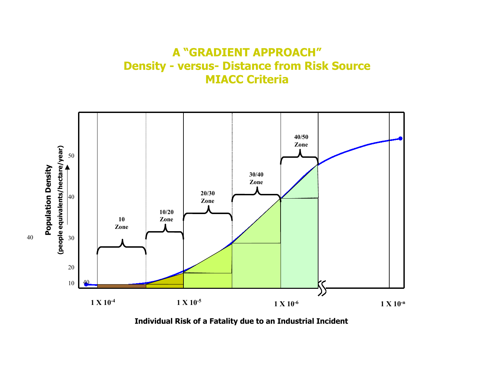#### **A "GRADIENT APPROACH" Density - versus- Distance from Risk Source MIACC Criteria**



**Individual Risk of a Fatality due to an Industrial Incident**

40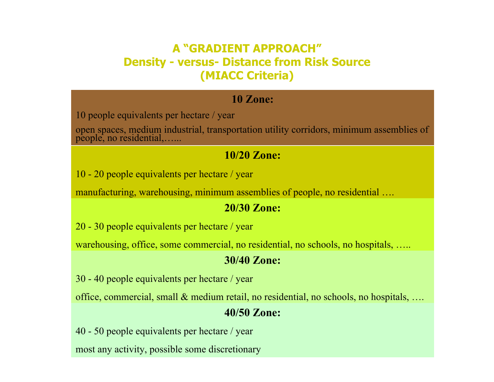# **A "GRADIENT APPROACH"Density - versus- Distance from Risk Source (MIACC Criteria)**

#### **10 Zone:**

10 people equivalents per hectare / year

open spaces, medium industrial, transportation utility corridors, minimum assemblies of people, no residential,…...

#### **10/20 Zone:**

10 - 20 people equivalents per hectare / year

manufacturing, warehousing, minimum assemblies of people, no residential ….

#### **20/30 Zone:**

20 - 30 people equivalents per hectare / year

warehousing, office, some commercial, no residential, no schools, no hospitals, …..

#### **30/40 Zone:**

30 - 40 people equivalents per hectare / year

office, commercial, small & medium retail, no residential, no schools, no hospitals, ….

#### **40/50 Zone:**

40 - 50 people equivalents per hectare / year

most any activity, possible some discretionary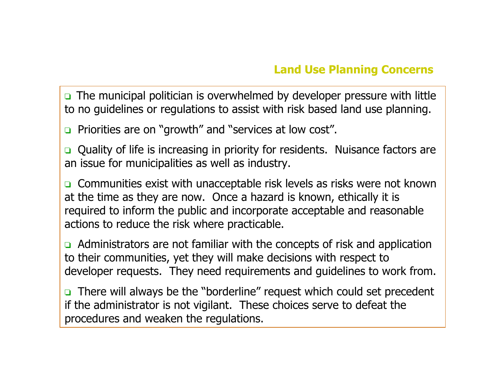$\Box$  The municipal politician is overwhelmed by developer pressure with little to no guidelines or regulations to assist with risk based land use planning.

 $\Box$  Priorities are on "growth" and "services at low cost".

Quality of life is increasing in priority for residents. Nuisance factors are an issue for municipalities as well as industry.

Communities exist with unacceptable risk levels as risks were not known at the time as they are now. Once a hazard is known, ethically it is required to inform the public and incorporate acceptable and reasonable actions to reduce the risk where practicable.

 $\Box$  Administrators are not familiar with the concepts of risk and application to their communities, yet they will make decisions with respect to developer requests. They need requirements and guidelines to work from.

 $\Box$  There will always be the "borderline" request which could set precedent if the administrator is not vigilant. These choices serve to defeat the procedures and weaken the regulations.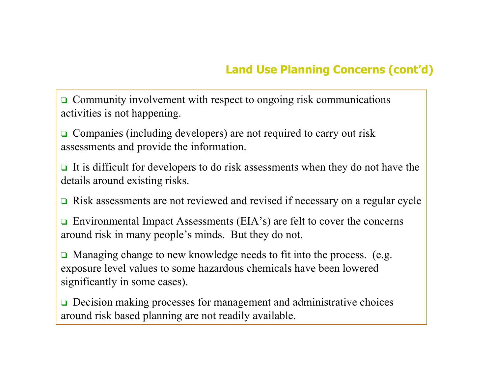# **Land Use Planning Concerns (cont'd)**

Community involvement with respect to ongoing risk communications activities is not happening.

Companies (including developers) are not required to carry out risk assessments and provide the information.

It is difficult for developers to do risk assessments when they do not have the details around existing risks.

 $\Box$  Risk assessments are not reviewed and revised if necessary on a regular cycle

Environmental Impact Assessments (EIA's) are felt to cover the concerns around risk in many people's minds. But they do not.

 $\Box$  Managing change to new knowledge needs to fit into the process. (e.g. exposure level values to some hazardous chemicals have been lowered significantly in some cases).

 $\Box$  Decision making processes for management and administrative choices around risk based planning are not readily available.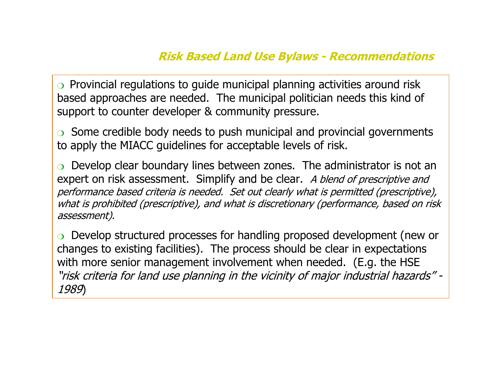## **Risk Based Land Use Bylaws - Recommendations**

 $\circ$  Provincial regulations to guide municipal planning activities around risk based approaches are needed. The municipal politician needs this kind of support to counter developer & community pressure.

 $\circ$  Some credible body needs to push municipal and provincial governments to apply the MIACC guidelines for acceptable levels of risk.

Develop clear boundary lines between zones. The administrator is not an expert on risk assessment. Simplify and be clear. A blend of prescriptive and performance based criteria is needed. Set out clearly what is permitted (prescriptive), what is prohibited (prescriptive), and what is discretionary (performance, based on risk assessment).

Develop structured processes for handling proposed development (new or changes to existing facilities). The process should be clear in expectations with more senior management involvement when needed. (E.g. the HSE "risk criteria for land use planning in the vicinity of major industrial hazards" - 1989)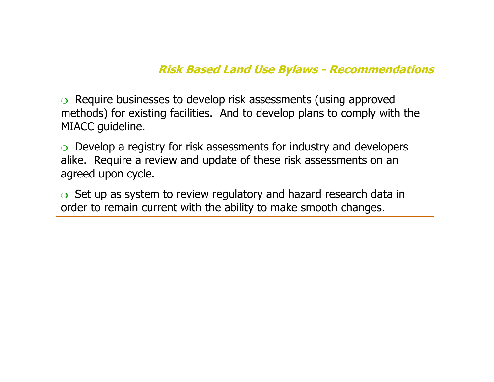# **Risk Based Land Use Bylaws - Recommendations**

 $\circ$  Require businesses to develop risk assessments (using approved methods) for existing facilities. And to develop plans to comply with the MIACC guideline.

 $\circ$  Develop a registry for risk assessments for industry and developers alike. Require a review and update of these risk assessments on an agreed upon cycle.

 $\circ$  Set up as system to review regulatory and hazard research data in order to remain current with the ability to make smooth changes.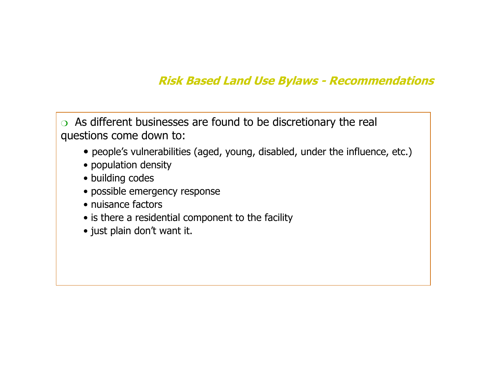# **Risk Based Land Use Bylaws - Recommendations**

 $\circ$  As different businesses are found to be discretionary the real questions come down to:

- people's vulnerabilities (aged, young, disabled, under the influence, etc.)
- population density
- building codes
- possible emergency response
- nuisance factors
- is there a residential component to the facility
- just plain don't want it.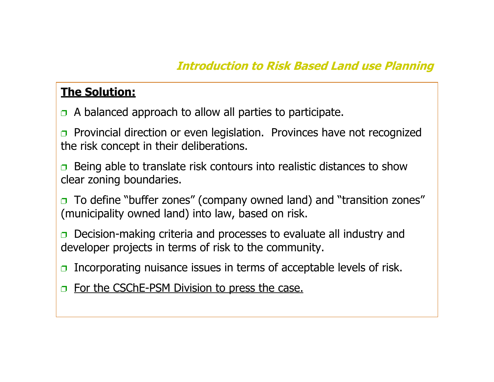# **The Solution:**

- $\Box$  A balanced approach to allow all parties to participate.
- Provincial direction or even legislation. Provinces have not recognized the risk concept in their deliberations.
- Being able to translate risk contours into realistic distances to show clear zoning boundaries.
- $\Box$  To define "buffer zones" (company owned land) and "transition zones" (municipality owned land) into law, based on risk.
- $\Box$  Decision-making criteria and processes to evaluate all industry and developer projects in terms of risk to the community.
- Incorporating nuisance issues in terms of acceptable levels of risk.
- $\Box$  For the CSChE-PSM Division to press the case.